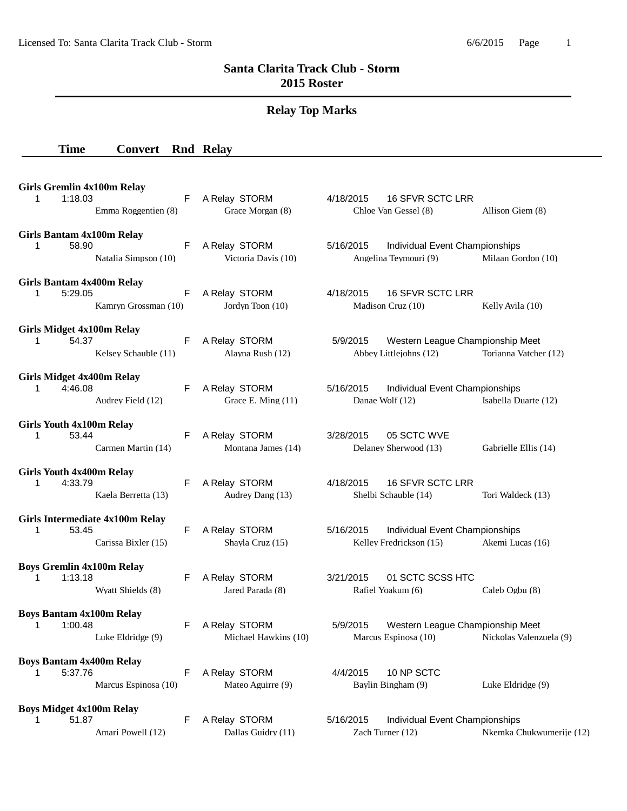## **Santa Clarita Track Club - Storm 2015 Roster**

# **Relay Top Marks**

### **Time Convert Rnd Relay**

| <b>Girls Gremlin 4x100m Relay</b><br>1:18.03<br>1.<br>Emma Roggentien (8)         | F  | A Relay STORM<br>Grace Morgan (8)     | 16 SFVR SCTC LRR<br>4/18/2015<br>Chloe Van Gessel (8)<br>Allison Giem (8)                       |
|-----------------------------------------------------------------------------------|----|---------------------------------------|-------------------------------------------------------------------------------------------------|
| Girls Bantam 4x100m Relay<br>58.90<br>1<br>Natalia Simpson (10)                   | F  | A Relay STORM<br>Victoria Davis (10)  | 5/16/2015<br>Individual Event Championships<br>Angelina Teymouri (9)<br>Milaan Gordon (10)      |
| Girls Bantam 4x400m Relay<br>5:29.05<br>1<br>Kamryn Grossman (10)                 | F  | A Relay STORM<br>Jordyn Toon (10)     | 16 SFVR SCTC LRR<br>4/18/2015<br>Madison Cruz (10)<br>Kelly Avila (10)                          |
| <b>Girls Midget 4x100m Relay</b><br>54.37<br>$\mathbf{1}$<br>Kelsey Schauble (11) | F  | A Relay STORM<br>Alayna Rush (12)     | Western League Championship Meet<br>5/9/2015<br>Abbey Littlejohns (12)<br>Torianna Vatcher (12) |
| <b>Girls Midget 4x400m Relay</b><br>4:46.08<br>1<br>Audrey Field (12)             | F  | A Relay STORM<br>Grace E. Ming (11)   | 5/16/2015<br>Individual Event Championships<br>Danae Wolf (12)<br>Isabella Duarte (12)          |
| <b>Girls Youth 4x100m Relay</b><br>53.44<br>1<br>Carmen Martin (14)               | F  | A Relay STORM<br>Montana James (14)   | 3/28/2015<br>05 SCTC WVE<br>Delaney Sherwood (13)<br>Gabrielle Ellis (14)                       |
| <b>Girls Youth 4x400m Relay</b><br>4:33.79<br>1<br>Kaela Berretta (13)            | F  | A Relay STORM<br>Audrey Dang (13)     | 4/18/2015<br>16 SFVR SCTC LRR<br>Shelbi Schauble (14)<br>Tori Waldeck (13)                      |
| Girls Intermediate 4x100m Relay<br>1<br>53.45<br>Carissa Bixler (15)              | F  | A Relay STORM<br>Shayla Cruz (15)     | Individual Event Championships<br>5/16/2015<br>Kelley Fredrickson (15)<br>Akemi Lucas (16)      |
| <b>Boys Gremlin 4x100m Relay</b><br>1:13.18<br>1<br>Wyatt Shields (8)             | F  | A Relay STORM<br>Jared Parada (8)     | 01 SCTC SCSS HTC<br>3/21/2015<br>Rafiel Yoakum (6)<br>Caleb Ogbu (8)                            |
| <b>Boys Bantam 4x100m Relay</b><br>1:00.48<br>1<br>Luke Eldridge (9)              | F. | A Relay STORM<br>Michael Hawkins (10) | Western League Championship Meet<br>5/9/2015<br>Marcus Espinosa (10) Nickolas Valenzuela (9)    |
| <b>Boys Bantam 4x400m Relay</b><br>5:37.76<br>1<br>Marcus Espinosa (10)           | F  | A Relay STORM<br>Mateo Aguirre (9)    | 10 NP SCTC<br>4/4/2015<br>Baylin Bingham (9)<br>Luke Eldridge (9)                               |
| <b>Boys Midget 4x100m Relay</b><br>51.87<br>1<br>Amari Powell (12)                | F  | A Relay STORM<br>Dallas Guidry (11)   | 5/16/2015<br>Individual Event Championships<br>Zach Turner (12)<br>Nkemka Chukwumerije (12)     |